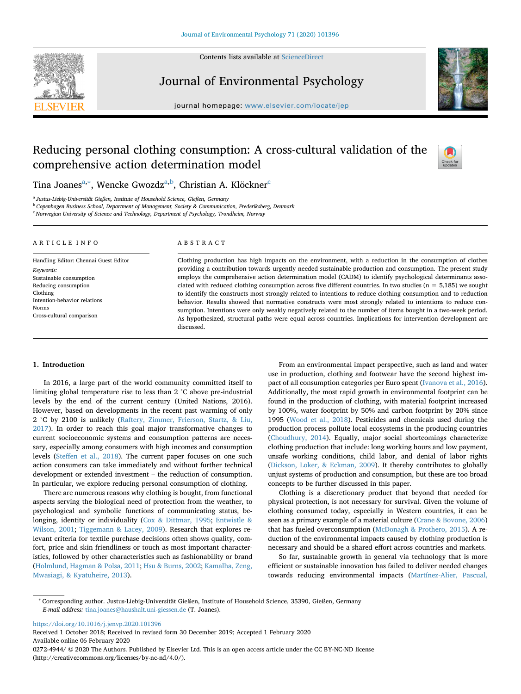Contents lists available at [ScienceDirect](http://www.sciencedirect.com/science/journal/02724944)



Journal of Environmental Psychology





# Reducing personal clothing consumption: A cross-cultural validation of the comprehensive action determination model



Tina Joanes<sup>[a,](#page-0-0)[∗](#page-0-1)</sup>, Wencke Gwozdz<sup>a,[b](#page-0-2)</sup>, Christian A. Klö[c](#page-0-3)kner<sup>c</sup>

<span id="page-0-0"></span><sup>a</sup> *Justus-Liebig-Universität Gießen, Institute of Household Science, Gießen, Germany*

<span id="page-0-2"></span><sup>b</sup> *Copenhagen Business School, Department of Management, Society & Communication, Frederiksberg, Denmark*

<span id="page-0-3"></span><sup>c</sup> *Norwegian University of Science and Technology, Department of Psychology, Trondheim, Norway*

## ARTICLE INFO

Handling Editor: Chennai Guest Editor *Keywords:* Sustainable consumption Reducing consumption Clothing Intention-behavior relations Norms Cross-cultural comparison

## ABSTRACT

Clothing production has high impacts on the environment, with a reduction in the consumption of clothes providing a contribution towards urgently needed sustainable production and consumption. The present study employs the comprehensive action determination model (CADM) to identify psychological determinants associated with reduced clothing consumption across five different countries. In two studies (n = 5,185) we sought to identify the constructs most strongly related to intentions to reduce clothing consumption and to reduction behavior. Results showed that normative constructs were most strongly related to intentions to reduce consumption. Intentions were only weakly negatively related to the number of items bought in a two-week period. As hypothesized, structural paths were equal across countries. Implications for intervention development are discussed.

#### **1. Introduction**

In 2016, a large part of the world community committed itself to limiting global temperature rise to less than 2 °C above pre-industrial levels by the end of the current century (United Nations, 2016). However, based on developments in the recent past warming of only 2 °C by 2100 is unlikely ([Raftery, Zimmer, Frierson, Startz, & Liu,](#page-8-0) [2017\)](#page-8-0). In order to reach this goal major transformative changes to current socioeconomic systems and consumption patterns are necessary, especially among consumers with high incomes and consumption levels [\(Steffen et al., 2018](#page-9-0)). The current paper focuses on one such action consumers can take immediately and without further technical development or extended investment – the reduction of consumption. In particular, we explore reducing personal consumption of clothing.

There are numerous reasons why clothing is bought, from functional aspects serving the biological need of protection from the weather, to psychological and symbolic functions of communicating status, belonging, identity or individuality ([Cox & Dittmar, 1995](#page-8-1); [Entwistle &](#page-8-2) [Wilson, 2001](#page-8-2); [Tiggemann & Lacey, 2009\)](#page-9-1). Research that explores relevant criteria for textile purchase decisions often shows quality, comfort, price and skin friendliness or touch as most important characteristics, followed by other characteristics such as fashionability or brand ([Holmlund, Hagman & Polsa, 2011;](#page-8-3) [Hsu & Burns, 2002;](#page-8-4) [Kamalha, Zeng,](#page-8-5) [Mwasiagi, & Kyatuheire, 2013\)](#page-8-5).

From an environmental impact perspective, such as land and water use in production, clothing and footwear have the second highest impact of all consumption categories per Euro spent [\(Ivanova et al., 2016](#page-8-6)). Additionally, the most rapid growth in environmental footprint can be found in the production of clothing, with material footprint increased by 100%, water footprint by 50% and carbon footprint by 20% since 1995 [\(Wood et al., 2018\)](#page-9-2). Pesticides and chemicals used during the production process pollute local ecosystems in the producing countries ([Choudhury, 2014](#page-8-7)). Equally, major social shortcomings characterize clothing production that include: long working hours and low payment, unsafe working conditions, child labor, and denial of labor rights ([Dickson, Loker, & Eckman, 2009\)](#page-8-8). It thereby contributes to globally unjust systems of production and consumption, but these are too broad concepts to be further discussed in this paper.

Clothing is a discretionary product that beyond that needed for physical protection, is not necessary for survival. Given the volume of clothing consumed today, especially in Western countries, it can be seen as a primary example of a material culture [\(Crane & Bovone, 2006\)](#page-8-9) that has fueled overconsumption [\(McDonagh & Prothero, 2015\)](#page-8-10). A reduction of the environmental impacts caused by clothing production is necessary and should be a shared effort across countries and markets.

So far, sustainable growth in general via technology that is more efficient or sustainable innovation has failed to deliver needed changes towards reducing environmental impacts ([Martínez-Alier, Pascual,](#page-8-11)

<https://doi.org/10.1016/j.jenvp.2020.101396>

Received 1 October 2018; Received in revised form 30 December 2019; Accepted 1 February 2020 Available online 06 February 2020

0272-4944/ © 2020 The Authors. Published by Elsevier Ltd. This is an open access article under the CC BY-NC-ND license (http://creativecommons.org/licenses/by-nc-nd/4.0/).

<span id="page-0-1"></span><sup>∗</sup> Corresponding author. Justus-Liebig-Universität Gießen, Institute of Household Science, 35390, Gießen, Germany *E-mail address:* [tina.joanes@haushalt.uni-giessen.de](mailto:tina.joanes@haushalt.uni-giessen.de) (T. Joanes).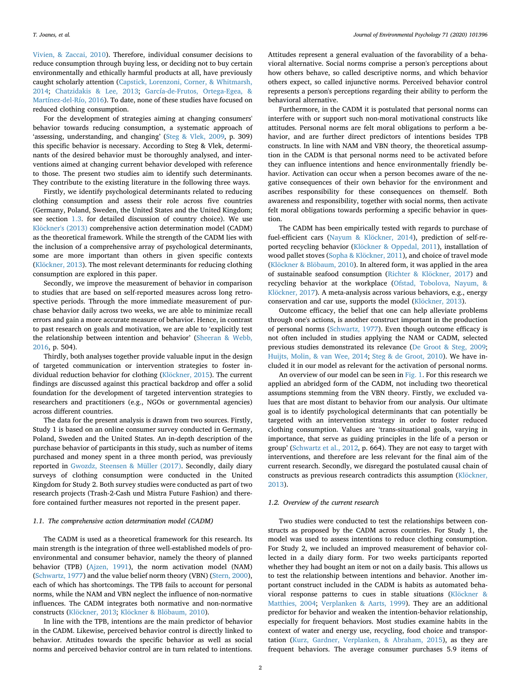[Vivien, & Zaccai, 2010\)](#page-8-11). Therefore, individual consumer decisions to reduce consumption through buying less, or deciding not to buy certain environmentally and ethically harmful products at all, have previously caught scholarly attention [\(Capstick, Lorenzoni, Corner, & Whitmarsh,](#page-8-12) [2014;](#page-8-12) [Chatzidakis & Lee, 2013](#page-8-13); [García-de-Frutos, Ortega-Egea, &](#page-8-14) [Martínez-del-Río, 2016](#page-8-14)). To date, none of these studies have focused on reduced clothing consumption.

For the development of strategies aiming at changing consumers' behavior towards reducing consumption, a systematic approach of 'assessing, understanding, and changing' [\(Steg & Vlek, 2009,](#page-9-3) p. 309) this specific behavior is necessary. According to Steg & Vlek, determinants of the desired behavior must be thoroughly analysed, and interventions aimed at changing current behavior developed with reference to those. The present two studies aim to identify such determinants. They contribute to the existing literature in the following three ways.

Firstly, we identify psychological determinants related to reducing clothing consumption and assess their role across five countries (Germany, Poland, Sweden, the United States and the United Kingdom; see section [1.3](#page-2-0). for detailed discussion of country choice). We use [Klöckner's \(2013\)](#page-8-15) comprehensive action determination model (CADM) as the theoretical framework. While the strength of the CADM lies with the inclusion of a comprehensive array of psychological determinants, some are more important than others in given specific contexts ([Klöckner, 2013](#page-8-15)). The most relevant determinants for reducing clothing consumption are explored in this paper.

Secondly, we improve the measurement of behavior in comparison to studies that are based on self-reported measures across long retrospective periods. Through the more immediate measurement of purchase behavior daily across two weeks, we are able to minimize recall errors and gain a more accurate measure of behavior. Hence, in contrast to past research on goals and motivation, we are able to 'explicitly test the relationship between intention and behavior' ([Sheeran & Webb,](#page-9-4) [2016,](#page-9-4) p. 504).

Thirdly, both analyses together provide valuable input in the design of targeted communication or intervention strategies to foster individual reduction behavior for clothing ([Klöckner, 2015\)](#page-8-16). The current findings are discussed against this practical backdrop and offer a solid foundation for the development of targeted intervention strategies to researchers and practitioners (e.g., NGOs or governmental agencies) across different countries.

The data for the present analysis is drawn from two sources. Firstly, Study 1 is based on an online consumer survey conducted in Germany, Poland, Sweden and the United States. An in-depth description of the purchase behavior of participants in this study, such as number of items purchased and money spent in a three month period, was previously reported in [Gwozdz, Steensen & Müller \(2017\)](#page-8-17). Secondly, daily diary surveys of clothing consumption were conducted in the United Kingdom for Study 2. Both survey studies were conducted as part of two research projects (Trash-2-Cash und Mistra Future Fashion) and therefore contained further measures not reported in the present paper.

## *1.1. The comprehensive action determination model (CADM)*

The CADM is used as a theoretical framework for this research. Its main strength is the integration of three well-established models of proenvironmental and consumer behavior, namely the theory of planned behavior (TPB) ([Ajzen, 1991](#page-8-18)), the norm activation model (NAM) ([Schwartz, 1977\)](#page-9-5) and the value belief norm theory (VBN) ([Stern, 2000](#page-9-6)), each of which has shortcomings. The TPB fails to account for personal norms, while the NAM and VBN neglect the influence of non-normative influences. The CADM integrates both normative and non-normative constructs ([Klöckner, 2013](#page-8-15); [Klöckner & Blöbaum, 2010](#page-8-19)).

In line with the TPB, intentions are the main predictor of behavior in the CADM. Likewise, perceived behavior control is directly linked to behavior. Attitudes towards the specific behavior as well as social norms and perceived behavior control are in turn related to intentions.

Attitudes represent a general evaluation of the favorability of a behavioral alternative. Social norms comprise a person's perceptions about how others behave, so called descriptive norms, and which behavior others expect, so called injunctive norms. Perceived behavior control represents a person's perceptions regarding their ability to perform the behavioral alternative.

Furthermore, in the CADM it is postulated that personal norms can interfere with or support such non-moral motivational constructs like attitudes. Personal norms are felt moral obligations to perform a behavior, and are further direct predictors of intentions besides TPB constructs. In line with NAM and VBN theory, the theoretical assumption in the CADM is that personal norms need to be activated before they can influence intentions and hence environmentally friendly behavior. Activation can occur when a person becomes aware of the negative consequences of their own behavior for the environment and ascribes responsibility for these consequences on themself. Both awareness and responsibility, together with social norms, then activate felt moral obligations towards performing a specific behavior in question.

The CADM has been empirically tested with regards to purchase of fuel-efficient cars ([Nayum & Klöckner, 2014](#page-8-20)), prediction of self-reported recycling behavior ([Klöckner & Oppedal, 2011](#page-8-21)), installation of wood pallet stoves [\(Sopha & Klöckner, 2011](#page-9-7)), and choice of travel mode ([Klöckner & Blöbaum, 2010](#page-8-19)). In altered form, it was applied in the area of sustainable seafood consumption ([Richter & Klöckner, 2017\)](#page-8-22) and recycling behavior at the workplace [\(Ofstad, Tobolova, Nayum, &](#page-8-23) [Klöckner, 2017](#page-8-23)). A meta-analysis across various behaviors, e.g., energy conservation and car use, supports the model ([Klöckner, 2013](#page-8-15)).

Outcome efficacy, the belief that one can help alleviate problems through one's actions, is another construct important in the production of personal norms [\(Schwartz, 1977\)](#page-9-5). Even though outcome efficacy is not often included in studies applying the NAM or CADM, selected previous studies demonstrated its relevance ([De Groot & Steg, 2009](#page-8-24); [Huijts, Molin, & van Wee, 2014;](#page-8-25) [Steg & de Groot, 2010](#page-9-8)). We have included it in our model as relevant for the activation of personal norms.

An overview of our model can be seen in [Fig. 1.](#page-2-1) For this research we applied an abridged form of the CADM, not including two theoretical assumptions stemming from the VBN theory. Firstly, we excluded values that are most distant to behavior from our analysis. Our ultimate goal is to identify psychological determinants that can potentially be targeted with an intervention strategy in order to foster reduced clothing consumption. Values are 'trans-situational goals, varying in importance, that serve as guiding principles in the life of a person or group' ([Schwartz et al., 2012](#page-9-9), p. 664). They are not easy to target with interventions, and therefore are less relevant for the final aim of the current research. Secondly, we disregard the postulated causal chain of constructs as previous research contradicts this assumption [\(Klöckner,](#page-8-15) [2013\)](#page-8-15).

#### *1.2. Overview of the current research*

Two studies were conducted to test the relationships between constructs as proposed by the CADM across countries. For Study 1, the model was used to assess intentions to reduce clothing consumption. For Study 2, we included an improved measurement of behavior collected in a daily diary form. For two weeks participants reported whether they had bought an item or not on a daily basis. This allows us to test the relationship between intentions and behavior. Another important construct included in the CADM is habits as automated behavioral response patterns to cues in stable situations ([Klöckner &](#page-8-26) [Matthies, 2004](#page-8-26); [Verplanken & Aarts, 1999\)](#page-9-10). They are an additional predictor for behavior and weaken the intention-behavior relationship, especially for frequent behaviors. Most studies examine habits in the context of water and energy use, recycling, food choice and transportation ([Kurz, Gardner, Verplanken, & Abraham, 2015](#page-8-27)), as they are frequent behaviors. The average consumer purchases 5.9 items of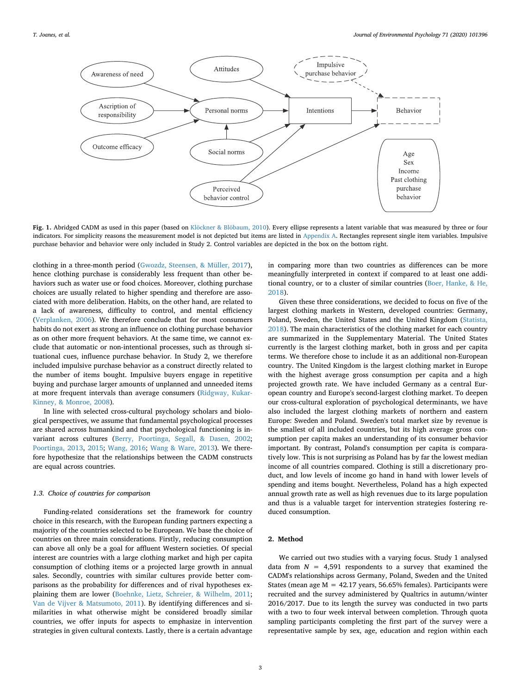<span id="page-2-1"></span>

**Fig. 1.** Abridged CADM as used in this paper (based on [Klöckner & Blöbaum, 2010\)](#page-8-19). Every ellipse represents a latent variable that was measured by three or four indicators. For simplicity reasons the measurement model is not depicted but items are listed in Appendix A. Rectangles represent single item variables. Impulsive purchase behavior and behavior were only included in Study 2. Control variables are depicted in the box on the bottom right.

clothing in a three-month period [\(Gwozdz, Steensen, & Müller, 2017](#page-8-17)), hence clothing purchase is considerably less frequent than other behaviors such as water use or food choices. Moreover, clothing purchase choices are usually related to higher spending and therefore are associated with more deliberation. Habits, on the other hand, are related to a lack of awareness, difficulty to control, and mental efficiency ([Verplanken, 2006\)](#page-9-11). We therefore conclude that for most consumers habits do not exert as strong an influence on clothing purchase behavior as on other more frequent behaviors. At the same time, we cannot exclude that automatic or non-intentional processes, such as through situational cues, influence purchase behavior. In Study 2, we therefore included impulsive purchase behavior as a construct directly related to the number of items bought. Impulsive buyers engage in repetitive buying and purchase larger amounts of unplanned and unneeded items at more frequent intervals than average consumers ([Ridgway, Kukar-](#page-8-28)[Kinney, & Monroe, 2008](#page-8-28)).

In line with selected cross-cultural psychology scholars and biological perspectives, we assume that fundamental psychological processes are shared across humankind and that psychological functioning is invariant across cultures [\(Berry, Poortinga, Segall, & Dasen, 2002](#page-8-29); [Poortinga, 2013](#page-8-30), [2015](#page-8-31); [Wang, 2016;](#page-9-12) [Wang & Ware, 2013](#page-9-13)). We therefore hypothesize that the relationships between the CADM constructs are equal across countries.

## <span id="page-2-0"></span>*1.3. Choice of countries for comparison*

Funding-related considerations set the framework for country choice in this research, with the European funding partners expecting a majority of the countries selected to be European. We base the choice of countries on three main considerations. Firstly, reducing consumption can above all only be a goal for affluent Western societies. Of special interest are countries with a large clothing market and high per capita consumption of clothing items or a projected large growth in annual sales. Secondly, countries with similar cultures provide better comparisons as the probability for differences and of rival hypotheses explaining them are lower ([Boehnke, Lietz, Schreier, & Wilhelm, 2011](#page-8-32); [Van de Vijver & Matsumoto, 2011\)](#page-9-14). By identifying differences and similarities in what otherwise might be considered broadly similar countries, we offer inputs for aspects to emphasize in intervention strategies in given cultural contexts. Lastly, there is a certain advantage in comparing more than two countries as differences can be more meaningfully interpreted in context if compared to at least one additional country, or to a cluster of similar countries ([Boer, Hanke, & He,](#page-8-33) [2018\)](#page-8-33).

Given these three considerations, we decided to focus on five of the largest clothing markets in Western, developed countries: Germany, Poland, Sweden, the United States and the United Kingdom [\(Statista,](#page-9-15) [2018\)](#page-9-15). The main characteristics of the clothing market for each country are summarized in the Supplementary Material. The United States currently is the largest clothing market, both in gross and per capita terms. We therefore chose to include it as an additional non-European country. The United Kingdom is the largest clothing market in Europe with the highest average gross consumption per capita and a high projected growth rate. We have included Germany as a central European country and Europe's second-largest clothing market. To deepen our cross-cultural exploration of psychological determinants, we have also included the largest clothing markets of northern and eastern Europe: Sweden and Poland. Sweden's total market size by revenue is the smallest of all included countries, but its high average gross consumption per capita makes an understanding of its consumer behavior important. By contrast, Poland's consumption per capita is comparatively low. This is not surprising as Poland has by far the lowest median income of all countries compared. Clothing is still a discretionary product, and low levels of income go hand in hand with lower levels of spending and items bought. Nevertheless, Poland has a high expected annual growth rate as well as high revenues due to its large population and thus is a valuable target for intervention strategies fostering reduced consumption.

## **2. Method**

We carried out two studies with a varying focus. Study 1 analysed data from  $N = 4,591$  respondents to a survey that examined the CADM's relationships across Germany, Poland, Sweden and the United States (mean age  $M = 42.17$  years, 56.65% females). Participants were recruited and the survey administered by Qualtrics in autumn/winter 2016/2017. Due to its length the survey was conducted in two parts with a two to four week interval between completion. Through quota sampling participants completing the first part of the survey were a representative sample by sex, age, education and region within each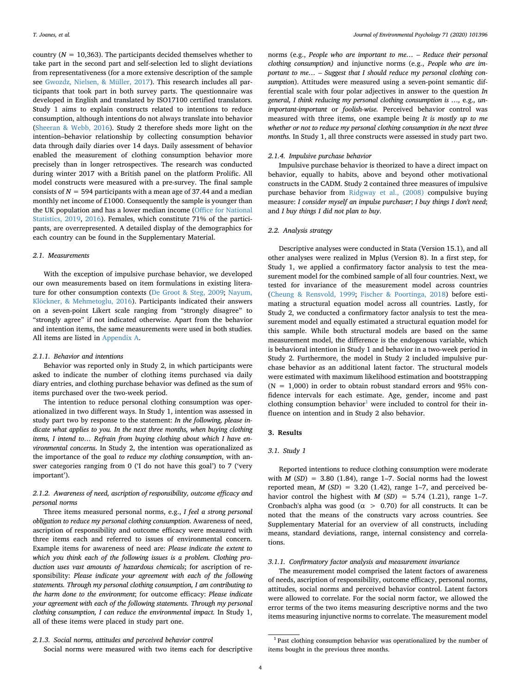country ( $N = 10,363$ ). The participants decided themselves whether to take part in the second part and self-selection led to slight deviations from representativeness (for a more extensive description of the sample see [Gwozdz, Nielsen, & Müller, 2017](#page-8-17)). This research includes all participants that took part in both survey parts. The questionnaire was developed in English and translated by ISO17100 certified translators. Study 1 aims to explain constructs related to intentions to reduce consumption, although intentions do not always translate into behavior ([Sheeran & Webb, 2016](#page-9-4)). Study 2 therefore sheds more light on the intention–behavior relationship by collecting consumption behavior data through daily diaries over 14 days. Daily assessment of behavior enabled the measurement of clothing consumption behavior more precisely than in longer retrospectives. The research was conducted during winter 2017 with a British panel on the platform Prolific. All model constructs were measured with a pre-survey. The final sample consists of  $N = 594$  participants with a mean age of 37.44 and a median monthly net income of £1000. Consequently the sample is younger than the UK population and has a lower median income ([Office for National](#page-8-34) [Statistics, 2019](#page-8-34), [2016](#page-8-35)). Females, which constitute 71% of the participants, are overrepresented. A detailed display of the demographics for each country can be found in the Supplementary Material.

#### *2.1. Measurements*

With the exception of impulsive purchase behavior, we developed our own measurements based on item formulations in existing literature for other consumption contexts [\(De Groot & Steg, 2009;](#page-8-24) [Nayum,](#page-8-36) [Klöckner, & Mehmetoglu, 2016\)](#page-8-36). Participants indicated their answers on a seven-point Likert scale ranging from "strongly disagree" to "strongly agree" if not indicated otherwise. Apart from the behavior and intention items, the same measurements were used in both studies. All items are listed in Appendix A.

## *2.1.1. Behavior and intentions*

Behavior was reported only in Study 2, in which participants were asked to indicate the number of clothing items purchased via daily diary entries, and clothing purchase behavior was defined as the sum of items purchased over the two-week period.

The intention to reduce personal clothing consumption was operationalized in two different ways. In Study 1, intention was assessed in study part two by response to the statement: *In the following, please indicate what applies to you. In the next three months, when buying clothing items, I intend to… Refrain from buying clothing about which I have environmental concerns*. In Study 2, the intention was operationalized as the importance of the goal *to reduce my clothing consumption*, with answer categories ranging from 0 ('I do not have this goal') to 7 ('very important').

# *2.1.2. Awareness of need, ascription of responsibility, outcome efficacy and personal norms*

Three items measured personal norms, e.g., *I feel a strong personal obligation to reduce my personal clothing consumption*. Awareness of need, ascription of responsibility and outcome efficacy were measured with three items each and referred to issues of environmental concern. Example items for awareness of need are: *Please indicate the extent to which you think each of the following issues is a problem. Clothing production uses vast amounts of hazardous chemicals*; for ascription of responsibility: *Please indicate your agreement with each of the following statements. Through my personal clothing consumption, I am contributing to the harm done to the environment*; for outcome efficacy: *Please indicate your agreement with each of the following statements. Through my personal clothing consumption, I can reduce the environmental impact.* In Study 1, all of these items were placed in study part one.

norms (e.g., *People who are important to me… – Reduce their personal clothing consumption)* and injunctive norms (e.g., *People who are important to me… – Suggest that I should reduce my personal clothing consumption*). Attitudes were measured using a seven-point semantic differential scale with four polar adjectives in answer to the question *In general, I think reducing my personal clothing consumption is …,* e.g.*, unimportant-important* or *foolish-wise.* Perceived behavior control was measured with three items, one example being *It is mostly up to me whether or not to reduce my personal clothing consumption in the next three months.* In Study 1, all three constructs were assessed in study part two.

## *2.1.4. Impulsive purchase behavior*

Impulsive purchase behavior is theorized to have a direct impact on behavior, equally to habits, above and beyond other motivational constructs in the CADM. Study 2 contained three measures of impulsive purchase behavior from [Ridgway et al., \(2008\)](#page-8-28) compulsive buying measure: *I consider myself an impulse purchaser*; *I buy things I don't need*; and *I buy things I did not plan to buy*.

## *2.2. Analysis strategy*

Descriptive analyses were conducted in Stata (Version 15.1), and all other analyses were realized in Mplus (Version 8). In a first step, for Study 1, we applied a confirmatory factor analysis to test the measurement model for the combined sample of all four countries. Next, we tested for invariance of the measurement model across countries ([Cheung & Rensvold, 1999](#page-8-37); [Fischer & Poortinga, 2018\)](#page-8-38) before estimating a structural equation model across all countries. Lastly, for Study 2, we conducted a confirmatory factor analysis to test the measurement model and equally estimated a structural equation model for this sample. While both structural models are based on the same measurement model, the difference is the endogenous variable, which is behavioral intention in Study 1 and behavior in a two-week period in Study 2. Furthermore, the model in Study 2 included impulsive purchase behavior as an additional latent factor. The structural models were estimated with maximum likelihood estimation and bootstrapping  $(N = 1,000)$  in order to obtain robust standard errors and 95% confidence intervals for each estimate. Age, gender, income and past clothing consumption behavior<sup>[1](#page-3-0)</sup> were included to control for their influence on intention and in Study 2 also behavior.

# **3. Results**

## *3.1. Study 1*

Reported intentions to reduce clothing consumption were moderate with  $M(SD) = 3.80$  (1.84), range 1-7. Social norms had the lowest reported mean,  $M(SD) = 3.20$  (1.42), range 1-7, and perceived behavior control the highest with  $M(SD) = 5.74$  (1.21), range 1-7. Cronbach's alpha was good ( $\alpha$  > 0.70) for all constructs. It can be noted that the means of the constructs vary across countries. See Supplementary Material for an overview of all constructs, including means, standard deviations, range, internal consistency and correlations.

## *3.1.1. Confirmatory factor analysis and measurement invariance*

The measurement model comprised the latent factors of awareness of needs, ascription of responsibility, outcome efficacy, personal norms, attitudes, social norms and perceived behavior control. Latent factors were allowed to correlate. For the social norm factor, we allowed the error terms of the two items measuring descriptive norms and the two items measuring injunctive norms to correlate. The measurement model

*<sup>2.1.3.</sup> Social norms, attitudes and perceived behavior control*

Social norms were measured with two items each for descriptive

<span id="page-3-0"></span><sup>&</sup>lt;sup>1</sup> Past clothing consumption behavior was operationalized by the number of items bought in the previous three months.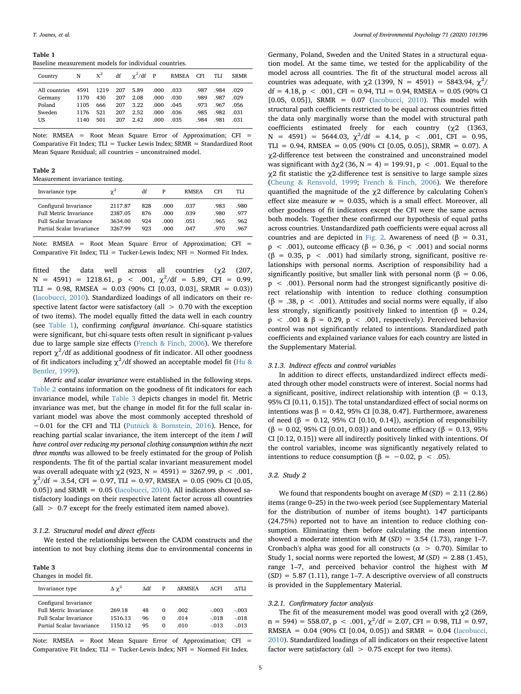#### <span id="page-4-0"></span>**Table 1**

Baseline measurement models for individual countries.

| Country       | N    | $X^2$ | df  | $\gamma^2$ /df P |       | <b>RMSEA</b> | <b>CFI</b> | TLI  | <b>SRMR</b> |
|---------------|------|-------|-----|------------------|-------|--------------|------------|------|-------------|
| All countries | 4591 | 1219  | 207 | 5.89             | .000  | .033         | .987       | .984 | .029        |
| Germany       | 1170 | 430   | 207 | 2.08             | .000. | .030         | .989       | .987 | .029        |
| Poland        | 1105 | 666   | 207 | 3.22             | .000  | .045         | .973       | .967 | .056        |
| Sweden        | 1176 | 521   | 207 | 2.52             | .000  | .036         | .985       | .982 | .031        |
| US            | 1140 | 501   | 207 | 2.42             | .000. | .035         | .984       | .981 | .031        |

Note: RMSEA = Root Mean Square Error of Approximation; CFI = Comparative Fit Index; TLI = Tucker Lewis Index; SRMR = Standardized Root Mean Square Residual; all countries – unconstrained model.

<span id="page-4-1"></span>**Table 2**

Measurement invariance testing.

| Invariance type               | $\gamma^2$ | df  | P    | <b>RMSEA</b> | CFI  | TLI  |
|-------------------------------|------------|-----|------|--------------|------|------|
| Configural Invariance         | 2117.87    | 828 | .000 | .037         | .983 | .980 |
| <b>Full Metric Invariance</b> | 2387.05    | 876 | .000 | .039         | .980 | .977 |
| <b>Full Scalar Invariance</b> | 3634.00    | 924 | .000 | .051         | .965 | .962 |
| Partial Scalar Invariance     | 3267 99    | 923 | .000 | .047         | .970 | .967 |

Note: RMSEA = Root Mean Square Error of Approximation; CFI = Comparative Fit Index; TLI = Tucker-Lewis Index; NFI = Normed Fit Index.

fitted the data well across all countries  $(\chi^2)$  (207,  $N = 4591$  = 1218.61,  $p < .001$ ,  $\chi^2/df = 5.89$ , CFI = 0.99, TLI = 0.98, RMSEA =  $0.03$  (90% CI [0.03, 0.03], SRMR = 0.03)) ([Iacobucci, 2010](#page-8-39)). Standardized loadings of all indicators on their respective latent factor were satisfactory (all  $> 0.70$  with the exception of two items). The model equally fitted the data well in each country (see [Table 1\)](#page-4-0), confirming *configural invariance*. Chi-square statistics were significant, but chi-square tests often result in significant p-values due to large sample size effects [\(French & Finch, 2006](#page-8-40)). We therefore report  $\chi^2$ /df as additional goodness of fit indicator. All other goodness of fit indicators including  $\chi^2$ /df showed an acceptable model fit [\(Hu &](#page-8-41) [Bentler, 1999\)](#page-8-41).

*Metric and scalar invariance* were established in the following steps. [Table 2](#page-4-1) contains information on the goodness of fit indicators for each invariance model, while [Table 3](#page-4-2) depicts changes in model fit. Metric invariance was met, but the change in model fit for the full scalar invariant model was above the most commonly accepted threshold of −0.01 for the CFI and TLI ([Putnick & Bornstein, 2016\)](#page-8-42). Hence, for reaching partial scalar invariance, the item intercept of the item *I will have control over reducing my personal clothing consumption within the next three months* was allowed to be freely estimated for the group of Polish respondents. The fit of the partial scalar invariant measurement model was overall adequate with  $χ2$  (923, N = 4591) = 3267.99, p < .001,  $\chi^2$ /df = 3.54, CFI = 0.97, TLI = 0.97, RMSEA = 0.05 (90% CI [0.05, 0.05]) and SRMR =  $0.05$  (*Iacobucci*, 2010). All indicators showed satisfactory loadings on their respective latent factor across all countries (all > 0.7 except for the freely estimated item named above).

## *3.1.2. Structural model and direct effects*

We tested the relationships between the CADM constructs and the intention to not buy clothing items due to environmental concerns in

## <span id="page-4-2"></span>**Table 3**

| Changes in model fit.                                                                                                |                              |                |                                  |                      |                               |                               |  |
|----------------------------------------------------------------------------------------------------------------------|------------------------------|----------------|----------------------------------|----------------------|-------------------------------|-------------------------------|--|
| Invariance type                                                                                                      | $\Delta \gamma^2$            | Adf            | P                                | <b>ARMSEA</b>        | ACFI                          | ATLI                          |  |
| Configural Invariance<br><b>Full Metric Invariance</b><br><b>Full Scalar Invariance</b><br>Partial Scalar Invariance | 269.18<br>1516.13<br>1150.12 | 48<br>96<br>95 | $\Omega$<br>$\Omega$<br>$\Omega$ | .002<br>.014<br>.010 | $-.003$<br>$-.018$<br>$-.013$ | $-.003$<br>$-.018$<br>$-.013$ |  |

Note: RMSEA = Root Mean Square Error of Approximation; CFI = Comparative Fit Index; TLI = Tucker-Lewis Index; NFI = Normed Fit Index.

Germany, Poland, Sweden and the United States in a structural equation model. At the same time, we tested for the applicability of the model across all countries. The fit of the structural model across all countries was adequate, with  $\chi$ 2 (1399, N = 4591) = 5843.94,  $\chi^2$ /  $df = 4.18$ ,  $p < .001$ , CFI = 0.94, TLI = 0.94, RMSEA = 0.05 (90% CI [0.05, 0.05]), SRMR = 0.07 ([Iacobucci, 2010](#page-8-39)). This model with structural path coefficients restricted to be equal across countries fitted the data only marginally worse than the model with structural path coefficients estimated freely for each country ( $\chi$ 2 (1363, N = 4591) = 5644.03,  $\chi^2$ /df = 4.14, p < .001, CFI = 0.95, TLI = 0.94, RMSEA =  $0.05$  (90% CI [0.05, 0.05]), SRMR = 0.07), A χ2-difference test between the constrained and unconstrained model was significant with  $\Delta y$  (36, N = 4) = 199.91, p < .001. Equal to the χ2 fit statistic the χ2-difference test is sensitive to large sample sizes ([Cheung & Rensvold, 1999;](#page-8-37) [French & Finch, 2006](#page-8-40)). We therefore quantified the magnitude of the  $\chi$ 2 difference by calculating Cohen's effect size measure  $w = 0.035$ , which is a small effect. Moreover, all other goodness of fit indicators except the CFI were the same across both models. Together these confirmed our hypothesis of equal paths across countries. Unstandardized path coefficients were equal across all countries and are depicted in [Fig. 2](#page-5-0). Awareness of need (β = 0.31,  $p \sim .001$ ), outcome efficacy ( $\beta = 0.36$ ,  $p \sim .001$ ) and social norms (β = 0.35, p < .001) had similarly strong, significant, positive relationships with personal norms. Ascription of responsibility had a significantly positive, but smaller link with personal norm ( $\beta = 0.06$ , p < .001). Personal norm had the strongest significantly positive direct relationship with intention to reduce clothing consumption (β = .38, p < .001). Attitudes and social norms were equally, if also less strongly, significantly positively linked to intention ( $\beta = 0.24$ , p < .001 & β = 0.29, p < .001, respectively). Perceived behavior control was not significantly related to intentions. Standardized path coefficients and explained variance values for each country are listed in the Supplementary Material.

## *3.1.3. Indirect effects and control variables*

In addition to direct effects, unstandardized indirect effects mediated through other model constructs were of interest. Social norms had a significant, positive, indirect relationship with intention (β = 0.13, 95% CI [0.11, 0.15]). The total unstandardized effect of social norms on intentions was  $β = 0.42, 95%$  CI [0.38, 0.47]. Furthermore, awareness of need (β = 0.12, 95% CI [0.10, 0.14]), ascription of responsibility  $(β = 0.02, 95% CI [0.01, 0.03])$  and outcome efficacy  $(β = 0.13, 95%$ CI [0.12, 0.15]) were all indirectly positively linked with intentions. Of the control variables, income was significantly negatively related to intentions to reduce consumption (β = −0.02, p < .05).

#### *3.2. Study 2*

We found that respondents bought on average *M* (*SD*) = 2.11 (2.86) items (range 0–25) in the two-week period (see Supplementary Material for the distribution of number of items bought). 147 participants (24.75%) reported not to have an intention to reduce clothing consumption. Eliminating them before calculating the mean intention showed a moderate intention with  $M(SD) = 3.54$  (1.73), range 1-7. Cronbach's alpha was good for all constructs ( $\alpha > 0.70$ ). Similar to Study 1, social norms were reported the lowest,  $M(SD) = 2.88$  (1.45), range 1–7, and perceived behavior control the highest with *M*  $(SD) = 5.87$  (1.11), range 1–7. A descriptive overview of all constructs is provided in the Supplementary Material.

#### *3.2.1. Confirmatory factor analysis*

The fit of the measurement model was good overall with  $\gamma$ 2 (269,  $n = 594$ ) = 558.07,  $p < .001$ ,  $\chi^2/df = 2.07$ , CFI = 0.98, TLI = 0.97, RMSEA = 0.04 (90% CI [0.04, 0.05]) and SRMR = 0.04 ([Iacobucci,](#page-8-39) [2010\)](#page-8-39). Standardized loadings of all indicators on their respective latent factor were satisfactory (all  $> 0.75$  except for two items).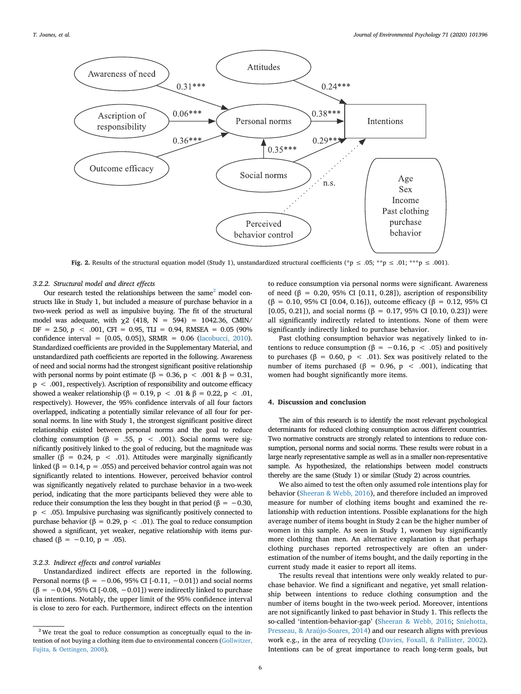<span id="page-5-0"></span>

**Fig. 2.** Results of the structural equation model (Study 1), unstandardized structural coefficients (\*p ≤ .05; \*\*p ≤ .01; \*\*\*p ≤ .001).

## *3.2.2. Structural model and direct effects*

Our research tested the relationships between the same<sup>2</sup> model constructs like in Study 1, but included a measure of purchase behavior in a two-week period as well as impulsive buying. The fit of the structural model was adequate, with  $\chi$ 2 (418, N = 594) = 1042.36, CMIN/  $DF = 2.50, p < .001, CFI = 0.95, TLI = 0.94, RMSEA = 0.05 (90\%)$ confidence interval = [0.05, 0.05]), SRMR = 0.06 [\(Iacobucci, 2010\)](#page-8-39). Standardized coefficients are provided in the Supplementary Material, and unstandardized path coefficients are reported in the following. Awareness of need and social norms had the strongest significant positive relationship with personal norms by point estimate (β = 0.36, p < .001 & β = 0.31, p < .001, respectively). Ascription of responsibility and outcome efficacy showed a weaker relationship (β = 0.19, p < .01 & β = 0.22, p < .01, respectively). However, the 95% confidence intervals of all four factors overlapped, indicating a potentially similar relevance of all four for personal norms. In line with Study 1, the strongest significant positive direct relationship existed between personal norms and the goal to reduce clothing consumption ( $\beta$  = .55, p < .001). Social norms were significantly positively linked to the goal of reducing, but the magnitude was smaller ( $\beta$  = 0.24,  $p$  < .01). Attitudes were marginally significantly linked (β = 0.14, p = .055) and perceived behavior control again was not significantly related to intentions. However, perceived behavior control was significantly negatively related to purchase behavior in a two-week period, indicating that the more participants believed they were able to reduce their consumption the less they bought in that period ( $\beta = -0.30$ , p < .05). Impulsive purchasing was significantly positively connected to purchase behavior (β = 0.29, p < .01). The goal to reduce consumption showed a significant, yet weaker, negative relationship with items purchased ( $\beta = -0.10$ ,  $p = .05$ ).

## *3.2.3. Indirect effects and control variables*

Unstandardized indirect effects are reported in the following. Personal norms ( $β = -0.06, 95%$  CI [-0.11, -0.01]) and social norms  $(\beta = -0.04, 95\% \text{ CI}$  [-0.08, -0.01]) were indirectly linked to purchase via intentions. Notably, the upper limit of the 95% confidence interval is close to zero for each. Furthermore, indirect effects on the intention

to reduce consumption via personal norms were significant. Awareness of need (β = 0.20, 95% CI [0.11, 0.28]), ascription of responsibility (β = 0.10, 95% CI [0.04, 0.16]), outcome efficacy (β = 0.12, 95% CI [0.05, 0.21]), and social norms (β = 0.17, 95% CI [0.10, 0.23]) were all significantly indirectly related to intentions. None of them were significantly indirectly linked to purchase behavior.

Past clothing consumption behavior was negatively linked to intentions to reduce consumption (β = -0.16, p < .05) and positively to purchases (β = 0.60, p < .01). Sex was positively related to the number of items purchased (β = 0.96, p < .001), indicating that women had bought significantly more items.

## **4. Discussion and conclusion**

The aim of this research is to identify the most relevant psychological determinants for reduced clothing consumption across different countries. Two normative constructs are strongly related to intentions to reduce consumption, personal norms and social norms. These results were robust in a large nearly representative sample as well as in a smaller non-representative sample. As hypothesized, the relationships between model constructs thereby are the same (Study 1) or similar (Study 2) across countries.

We also aimed to test the often only assumed role intentions play for behavior ([Sheeran & Webb, 2016\)](#page-9-4), and therefore included an improved measure for number of clothing items bought and examined the relationship with reduction intentions. Possible explanations for the high average number of items bought in Study 2 can be the higher number of women in this sample. As seen in Study 1, women buy significantly more clothing than men. An alternative explanation is that perhaps clothing purchases reported retrospectively are often an underestimation of the number of items bought, and the daily reporting in the current study made it easier to report all items.

The results reveal that intentions were only weakly related to purchase behavior. We find a significant and negative, yet small relationship between intentions to reduce clothing consumption and the number of items bought in the two-week period. Moreover, intentions are not significantly linked to past behavior in Study 1. This reflects the so-called 'intention-behavior-gap' [\(Sheeran & Webb, 2016](#page-9-4); [Sniehotta,](#page-9-16) [Presseau, & Araújo-Soares, 2014](#page-9-16)) and our research aligns with previous work e.g., in the area of recycling [\(Davies, Foxall, & Pallister, 2002](#page-8-43)). Intentions can be of great importance to reach long-term goals, but

<span id="page-5-1"></span> $2$ We treat the goal to reduce consumption as conceptually equal to the intention of not buying a clothing item due to environmental concern ([Gollwitzer,](#page-8-44) [Fujita, & Oettingen, 2008\)](#page-8-44).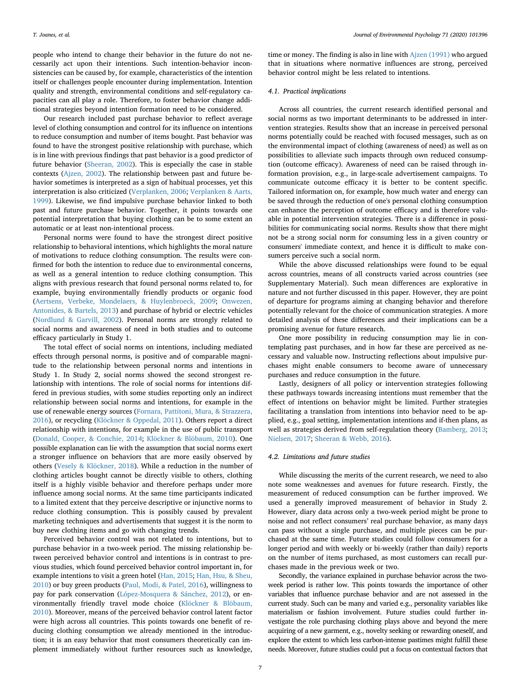people who intend to change their behavior in the future do not necessarily act upon their intentions. Such intention-behavior inconsistencies can be caused by, for example, characteristics of the intention itself or challenges people encounter during implementation. Intention quality and strength, environmental conditions and self-regulatory capacities can all play a role. Therefore, to foster behavior change additional strategies beyond intention formation need to be considered.

Our research included past purchase behavior to reflect average level of clothing consumption and control for its influence on intentions to reduce consumption and number of items bought. Past behavior was found to have the strongest positive relationship with purchase, which is in line with previous findings that past behavior is a good predictor of future behavior ([Sheeran, 2002](#page-9-17)). This is especially the case in stable contexts ([Ajzen, 2002](#page-8-45)). The relationship between past and future behavior sometimes is interpreted as a sign of habitual processes, yet this interpretation is also criticized [\(Verplanken, 2006](#page-9-11); [Verplanken & Aarts,](#page-9-10) [1999\)](#page-9-10). Likewise, we find impulsive purchase behavior linked to both past and future purchase behavior. Together, it points towards one potential interpretation that buying clothing can be to some extent an automatic or at least non-intentional process.

Personal norms were found to have the strongest direct positive relationship to behavioral intentions, which highlights the moral nature of motivations to reduce clothing consumption. The results were confirmed for both the intention to reduce due to environmental concerns, as well as a general intention to reduce clothing consumption. This aligns with previous research that found personal norms related to, for example, buying environmentally friendly products or organic food ([Aertsens, Verbeke, Mondelaers, & Huylenbroeck, 2009;](#page-8-46) [Onwezen,](#page-8-47) [Antonides, & Bartels, 2013](#page-8-47)) and purchase of hybrid or electric vehicles ([Nordlund & Garvill, 2002](#page-8-48)). Personal norms are strongly related to social norms and awareness of need in both studies and to outcome efficacy particularly in Study 1.

The total effect of social norms on intentions, including mediated effects through personal norms, is positive and of comparable magnitude to the relationship between personal norms and intentions in Study 1. In Study 2, social norms showed the second strongest relationship with intentions. The role of social norms for intentions differed in previous studies, with some studies reporting only an indirect relationship between social norms and intentions, for example in the use of renewable energy sources [\(Fornara, Pattitoni, Mura, & Strazzera,](#page-8-49) [2016\)](#page-8-49), or recycling ([Klöckner & Oppedal, 2011](#page-8-21)). Others report a direct relationship with intentions, for example in the use of public transport ([Donald, Cooper, & Conchie, 2014;](#page-8-50) [Klöckner & Blöbaum, 2010\)](#page-8-19). One possible explanation can lie with the assumption that social norms exert a stronger influence on behaviors that are more easily observed by others [\(Vesely & Klöckner, 2018](#page-9-18)). While a reduction in the number of clothing articles bought cannot be directly visible to others, clothing itself is a highly visible behavior and therefore perhaps under more influence among social norms. At the same time participants indicated to a limited extent that they perceive descriptive or injunctive norms to reduce clothing consumption. This is possibly caused by prevalent marketing techniques and advertisements that suggest it is the norm to buy new clothing items and go with changing trends.

Perceived behavior control was not related to intentions, but to purchase behavior in a two-week period. The missing relationship between perceived behavior control and intentions is in contrast to previous studies, which found perceived behavior control important in, for example intentions to visit a green hotel ([Han, 2015](#page-8-51); [Han, Hsu, & Sheu,](#page-8-52) [2010\)](#page-8-52) or buy green products ([Paul, Modi, & Patel, 2016\)](#page-8-53), willingness to pay for park conservation [\(López-Mosquera & Sánchez, 2012\)](#page-8-54), or environmentally friendly travel mode choice [\(Klöckner & Blöbaum,](#page-8-19) [2010\)](#page-8-19). Moreover, means of the perceived behavior control latent factor were high across all countries. This points towards one benefit of reducing clothing consumption we already mentioned in the introduction; it is an easy behavior that most consumers theoretically can implement immediately without further resources such as knowledge,

time or money. The finding is also in line with [Ajzen \(1991\)](#page-8-18) who argued that in situations where normative influences are strong, perceived behavior control might be less related to intentions.

#### *4.1. Practical implications*

Across all countries, the current research identified personal and social norms as two important determinants to be addressed in intervention strategies. Results show that an increase in perceived personal norms potentially could be reached with focused messages, such as on the environmental impact of clothing (awareness of need) as well as on possibilities to alleviate such impacts through own reduced consumption (outcome efficacy). Awareness of need can be raised through information provision, e.g., in large-scale advertisement campaigns. To communicate outcome efficacy it is better to be content specific. Tailored information on, for example, how much water and energy can be saved through the reduction of one's personal clothing consumption can enhance the perception of outcome efficacy and is therefore valuable in potential intervention strategies. There is a difference in possibilities for communicating social norms. Results show that there might not be a strong social norm for consuming less in a given country or consumers' immediate context, and hence it is difficult to make consumers perceive such a social norm.

While the above discussed relationships were found to be equal across countries, means of all constructs varied across countries (see Supplementary Material). Such mean differences are explorative in nature and not further discussed in this paper. However, they are point of departure for programs aiming at changing behavior and therefore potentially relevant for the choice of communication strategies. A more detailed analysis of these differences and their implications can be a promising avenue for future research.

One more possibility in reducing consumption may lie in contemplating past purchases, and in how far these are perceived as necessary and valuable now. Instructing reflections about impulsive purchases might enable consumers to become aware of unnecessary purchases and reduce consumption in the future.

Lastly, designers of all policy or intervention strategies following these pathways towards increasing intentions must remember that the effect of intentions on behavior might be limited. Further strategies facilitating a translation from intentions into behavior need to be applied, e.g., goal setting, implementation intentions and if-then plans, as well as strategies derived from self-regulation theory [\(Bamberg, 2013](#page-8-55); [Nielsen, 2017](#page-8-56); [Sheeran & Webb, 2016](#page-9-4)).

## *4.2. Limitations and future studies*

While discussing the merits of the current research, we need to also note some weaknesses and avenues for future research. Firstly, the measurement of reduced consumption can be further improved. We used a generally improved measurement of behavior in Study 2. However, diary data across only a two-week period might be prone to noise and not reflect consumers' real purchase behavior, as many days can pass without a single purchase, and multiple pieces can be purchased at the same time. Future studies could follow consumers for a longer period and with weekly or bi-weekly (rather than daily) reports on the number of items purchased, as most customers can recall purchases made in the previous week or two.

Secondly, the variance explained in purchase behavior across the twoweek period is rather low. This points towards the importance of other variables that influence purchase behavior and are not assessed in the current study. Such can be many and varied e.g., personality variables like materialism or fashion involvement. Future studies could further investigate the role purchasing clothing plays above and beyond the mere acquiring of a new garment, e.g., novelty seeking or rewarding oneself, and explore the extent to which less carbon-intense pastimes might fulfill these needs. Moreover, future studies could put a focus on contextual factors that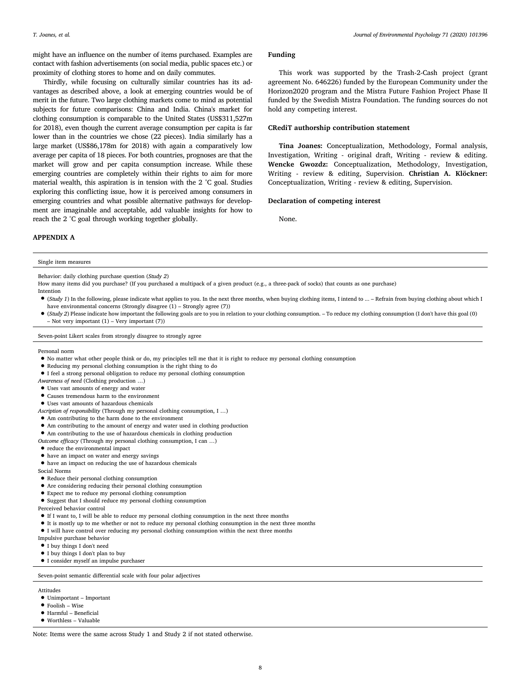might have an influence on the number of items purchased. Examples are contact with fashion advertisements (on social media, public spaces etc.) or proximity of clothing stores to home and on daily commutes.

Thirdly, while focusing on culturally similar countries has its advantages as described above, a look at emerging countries would be of merit in the future. Two large clothing markets come to mind as potential subjects for future comparisons: China and India. China's market for clothing consumption is comparable to the United States (US\$311,527m for 2018), even though the current average consumption per capita is far lower than in the countries we chose (22 pieces). India similarly has a large market (US\$86,178m for 2018) with again a comparatively low average per capita of 18 pieces. For both countries, prognoses are that the market will grow and per capita consumption increase. While these emerging countries are completely within their rights to aim for more material wealth, this aspiration is in tension with the 2 °C goal. Studies exploring this conflicting issue, how it is perceived among consumers in emerging countries and what possible alternative pathways for development are imaginable and acceptable, add valuable insights for how to reach the 2 °C goal through working together globally.

## **Funding**

This work was supported by the Trash-2-Cash project (grant agreement No. 646226) funded by the European Community under the Horizon2020 program and the Mistra Future Fashion Project Phase II funded by the Swedish Mistra Foundation. The funding sources do not hold any competing interest.

## **CRediT authorship contribution statement**

**Tina Joanes:** Conceptualization, Methodology, Formal analysis, Investigation, Writing - original draft, Writing - review & editing. **Wencke Gwozdz:** Conceptualization, Methodology, Investigation, Writing - review & editing, Supervision. **Christian A. Klöckner:** Conceptualization, Writing - review & editing, Supervision.

## **Declaration of competing interest**

None.

## **APPENDIX A**

#### Single item measures

Behavior: daily clothing purchase question (*Study 2*)

How many items did you purchase? (If you purchased a multipack of a given product (e.g., a three-pack of socks) that counts as one purchase) **Intention** 

- (*Study 1*) In the following, please indicate what applies to you. In the next three months, when buying clothing items, I intend to ... Refrain from buying clothing about which I have environmental concerns (Strongly disagree (1) – Strongly agree (7))
- (*Study 2*) Please indicate how important the following goals are to you in relation to your clothing consumption. To reduce my clothing consumption (I don't have this goal (0) – Not very important (1) – Very important (7))

Seven-point Likert scales from strongly disagree to strongly agree

#### Personal norm

- No matter what other people think or do, my principles tell me that it is right to reduce my personal clothing consumption
- Reducing my personal clothing consumption is the right thing to do
- I feel a strong personal obligation to reduce my personal clothing consumption
- *Awareness of need* (Clothing production …)
- Uses vast amounts of energy and water
- Causes tremendous harm to the environment
- Uses vast amounts of hazardous chemicals
- *Ascription of responsibility* (Through my personal clothing consumption, I …)
- Am contributing to the harm done to the environment
- Am contributing to the amount of energy and water used in clothing production
- Am contributing to the use of hazardous chemicals in clothing production
- *Outcome efficacy* (Through my personal clothing consumption, I can …)
- reduce the environmental impact
- have an impact on water and energy savings
- have an impact on reducing the use of hazardous chemicals
- Social Norms
- Reduce their personal clothing consumption
- Are considering reducing their personal clothing consumption
- Expect me to reduce my personal clothing consumption
- Suggest that I should reduce my personal clothing consumption

Perceived behavior control

- If I want to, I will be able to reduce my personal clothing consumption in the next three months
- It is mostly up to me whether or not to reduce my personal clothing consumption in the next three months
- I will have control over reducing my personal clothing consumption within the next three months
- Impulsive purchase behavior
- I buy things I don't need
- I buy things I don't plan to buy
- I consider myself an impulse purchaser

#### Seven-point semantic differential scale with four polar adjectives

## Attitudes

- Unimportant Important
- Foolish Wise
- Harmful Beneficial
- Worthless Valuable

Note: Items were the same across Study 1 and Study 2 if not stated otherwise.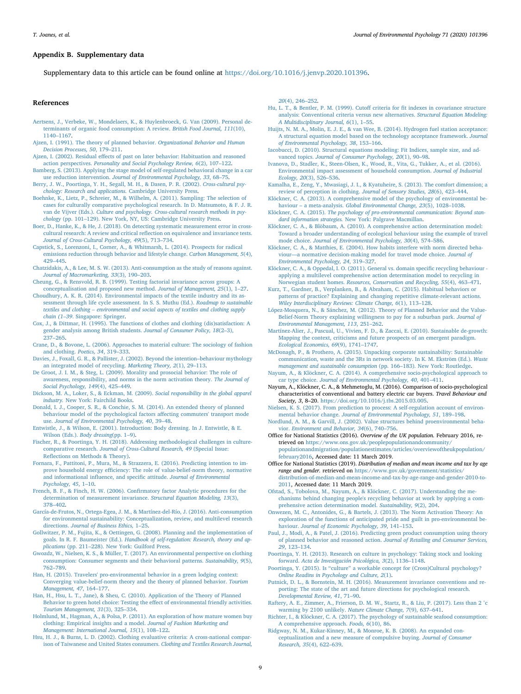## **Appendix B. Supplementary data**

Supplementary data to this article can be found online at <https://doi.org/10.1016/j.jenvp.2020.101396>.

#### **References**

- <span id="page-8-46"></span>[Aertsens, J., Verbeke, W., Mondelaers, K., & Huylenbroeck, G. Van \(2009\). Personal de](http://refhub.elsevier.com/S0272-4944(18)30711-4/sref1)[terminants of organic food consumption: A review.](http://refhub.elsevier.com/S0272-4944(18)30711-4/sref1) *British Food Journal, 111*(10), [1140–1167](http://refhub.elsevier.com/S0272-4944(18)30711-4/sref1).
- <span id="page-8-18"></span>[Ajzen, I. \(1991\). The theory of planned behavior.](http://refhub.elsevier.com/S0272-4944(18)30711-4/sref2) *Organizational Behavior and Human [Decision Processes, 50](http://refhub.elsevier.com/S0272-4944(18)30711-4/sref2)*, 179–211.
- <span id="page-8-45"></span>[Ajzen, I. \(2002\). Residual effects of past on later behavior: Habituation and reasoned](http://refhub.elsevier.com/S0272-4944(18)30711-4/sref3) action perspectives. *[Personality and Social Psychology Review, 6](http://refhub.elsevier.com/S0272-4944(18)30711-4/sref3)*(2), 107–122.
- <span id="page-8-55"></span>[Bamberg, S. \(2013\). Applying the stage model of self-regulated behavioral change in a car](http://refhub.elsevier.com/S0272-4944(18)30711-4/sref4) use reduction intervention. *[Journal of Environmental Psychology, 33](http://refhub.elsevier.com/S0272-4944(18)30711-4/sref4)*, 68–75.
- <span id="page-8-29"></span>[Berry, J. W., Poortinga, Y. H., Segall, M. H., & Dasen, P. R. \(2002\).](http://refhub.elsevier.com/S0272-4944(18)30711-4/sref5) *Cross-cultural psy[chology: Research and applications.](http://refhub.elsevier.com/S0272-4944(18)30711-4/sref5)* Cambridge University Press.
- <span id="page-8-32"></span>[Boehnke, K., Lietz, P., Schreier, M., & Wilhelm, A. \(2011\). Sampling: The selection of](http://refhub.elsevier.com/S0272-4944(18)30711-4/sref6) [cases for culturally comparative psychological research. In D. Matsumoto, & F. J. R.](http://refhub.elsevier.com/S0272-4944(18)30711-4/sref6) van de Vijver (Eds.). *[Culture and psychology. Cross-cultural research methods in psy](http://refhub.elsevier.com/S0272-4944(18)30711-4/sref6)chology* [\(pp. 101–129\). New York, NY, US: Cambridge University Press](http://refhub.elsevier.com/S0272-4944(18)30711-4/sref6).
- <span id="page-8-33"></span>[Boer, D., Hanke, K., & He, J. \(2018\). On detecting systematic measurement error in cross](http://refhub.elsevier.com/S0272-4944(18)30711-4/sref7)[cultural research: A review and critical reflection on equivalence and invariance tests.](http://refhub.elsevier.com/S0272-4944(18)30711-4/sref7) *[Journal of Cross-Cultural Psychology, 49](http://refhub.elsevier.com/S0272-4944(18)30711-4/sref7)*(5), 713–734.
- <span id="page-8-12"></span>[Capstick, S., Lorenzoni, I., Corner, A., & Whitmarsh, L. \(2014\). Prospects for radical](http://refhub.elsevier.com/S0272-4944(18)30711-4/sref8) [emissions reduction through behavior and lifestyle change.](http://refhub.elsevier.com/S0272-4944(18)30711-4/sref8) *Carbon Management, 5*(4), [429–445](http://refhub.elsevier.com/S0272-4944(18)30711-4/sref8).
- <span id="page-8-13"></span>[Chatzidakis, A., & Lee, M. S. W. \(2013\). Anti-consumption as the study of reasons against.](http://refhub.elsevier.com/S0272-4944(18)30711-4/sref9) *[Journal of Macromarketing, 33](http://refhub.elsevier.com/S0272-4944(18)30711-4/sref9)*(3), 190–203.
- <span id="page-8-37"></span>[Cheung, G., & Rensvold, R. B. \(1999\). Testing factorial invariance across groups: A](http://refhub.elsevier.com/S0272-4944(18)30711-4/sref10) [conceptualisation and proposed new method.](http://refhub.elsevier.com/S0272-4944(18)30711-4/sref10) *Journal of Management, 25*(1), 1–27.
- <span id="page-8-7"></span>[Choudhury, A. K. R. \(2014\). Environmental impacts of the textile industry and its as](http://refhub.elsevier.com/S0272-4944(18)30711-4/sref11)[sessment through life cycle assessment. In S. S. Muthu \(Ed.\).](http://refhub.elsevier.com/S0272-4944(18)30711-4/sref11) *Roadmap to sustainable [textiles and clothing – environmental and social aspects of textiles and clothing supply](http://refhub.elsevier.com/S0272-4944(18)30711-4/sref11) chain (1–39*[. Singapore: Springer.](http://refhub.elsevier.com/S0272-4944(18)30711-4/sref11)
- <span id="page-8-1"></span>[Cox, J., & Dittmar, H. \(1995\). The functions of clothes and clothing \(dis\)satisfaction: A](http://refhub.elsevier.com/S0272-4944(18)30711-4/sref12) [gender analysis among British students.](http://refhub.elsevier.com/S0272-4944(18)30711-4/sref12) *Journal of Consumer Policy, 18*(2–3), [237–265](http://refhub.elsevier.com/S0272-4944(18)30711-4/sref12).
- <span id="page-8-9"></span>[Crane, D., & Bovone, L. \(2006\). Approaches to material culture: The sociology of fashion](http://refhub.elsevier.com/S0272-4944(18)30711-4/sref13) [and clothing.](http://refhub.elsevier.com/S0272-4944(18)30711-4/sref13) *Poetics, 34*, 319–333.
- <span id="page-8-43"></span>[Davies, J., Foxall, G. R., & Pallister, J. \(2002\). Beyond the intention–behaviour mythology](http://refhub.elsevier.com/S0272-4944(18)30711-4/sref14) [an integrated model of recycling.](http://refhub.elsevier.com/S0272-4944(18)30711-4/sref14) *Marketing Theory, 2*(1), 29–113.
- <span id="page-8-24"></span>[De Groot, J. I. M., & Steg, L. \(2009\). Morality and prosocial behavior: The role of](http://refhub.elsevier.com/S0272-4944(18)30711-4/sref15) [awareness, responsibility, and norms in the norm activation theory.](http://refhub.elsevier.com/S0272-4944(18)30711-4/sref15) *The Journal of [Social Psychology, 149](http://refhub.elsevier.com/S0272-4944(18)30711-4/sref15)*(4), 425–449.
- <span id="page-8-8"></span>[Dickson, M. A., Loker, S., & Eckman, M. \(2009\).](http://refhub.elsevier.com/S0272-4944(18)30711-4/sref16) *Social responsibility in the global apparel industry.* [New York: Fairchild Books](http://refhub.elsevier.com/S0272-4944(18)30711-4/sref16).
- <span id="page-8-50"></span>[Donald, I. J., Cooper, S. R., & Conchie, S. M. \(2014\). An extended theory of planned](http://refhub.elsevier.com/S0272-4944(18)30711-4/sref17) [behaviour model of the psychological factors affecting commuters' transport mode](http://refhub.elsevier.com/S0272-4944(18)30711-4/sref17) use. *[Journal of Environmental Psychology, 40](http://refhub.elsevier.com/S0272-4944(18)30711-4/sref17)*, 39–48.
- <span id="page-8-2"></span>[Entwistle, J., & Wilson, E. \(2001\). Introduction: Body dressing. In J. Entwistle, & E.](http://refhub.elsevier.com/S0272-4944(18)30711-4/sref18) [Wilson \(Eds.\).](http://refhub.elsevier.com/S0272-4944(18)30711-4/sref18) *Body dressing*(pp. 1–9).
- <span id="page-8-38"></span>[Fischer, R., & Poortinga, Y. H. \(2018\). Addressing methodological challenges in culture](http://refhub.elsevier.com/S0272-4944(18)30711-4/sref19)comparative research. *[Journal of Cross-Cultural Research, 49](http://refhub.elsevier.com/S0272-4944(18)30711-4/sref19)* (Special Issue: [Reflections on Methods & Theory\)](http://refhub.elsevier.com/S0272-4944(18)30711-4/sref19).
- <span id="page-8-49"></span>[Fornara, F., Pattitoni, P., Mura, M., & Strazzera, E. \(2016\). Predicting intention to im](http://refhub.elsevier.com/S0272-4944(18)30711-4/sref20)[prove household energy efficiency: The role of value-belief-norm theory, normative](http://refhub.elsevier.com/S0272-4944(18)30711-4/sref20) [and informational influence, and specific attitude.](http://refhub.elsevier.com/S0272-4944(18)30711-4/sref20) *Journal of Environmental [Psychology, 45](http://refhub.elsevier.com/S0272-4944(18)30711-4/sref20)*, 1–10.
- <span id="page-8-40"></span>[French, B. F., & Finch, H. W. \(2006\). Confirmatory factor Analytic procedures for the](http://refhub.elsevier.com/S0272-4944(18)30711-4/sref21) [determination of measurement invariance.](http://refhub.elsevier.com/S0272-4944(18)30711-4/sref21) *Structural Equation Modeling, 13*(3), [378–402](http://refhub.elsevier.com/S0272-4944(18)30711-4/sref21).
- <span id="page-8-14"></span>[García-de-Frutos, N., Ortega-Egea, J. M., & Martínez-del-Río, J. \(2016\). Anti-consumption](http://refhub.elsevier.com/S0272-4944(18)30711-4/sref22) [for environmental sustainability: Conceptualization, review, and multilevel research](http://refhub.elsevier.com/S0272-4944(18)30711-4/sref22) directions. *[Journal of Business Ethics,](http://refhub.elsevier.com/S0272-4944(18)30711-4/sref22)* 1–25.
- <span id="page-8-44"></span>[Gollwitzer, P. M., Fujita, K., & Oettingen, G. \(2008\). Planning and the implementation of](http://refhub.elsevier.com/S0272-4944(18)30711-4/sref23) goals. In R. F. Baumeister (Ed.). *[Handbook of self-regulation: Research, theory and ap](http://refhub.elsevier.com/S0272-4944(18)30711-4/sref23)plications* [\(pp. 211–228\). New York: Guilford Press](http://refhub.elsevier.com/S0272-4944(18)30711-4/sref23).
- <span id="page-8-17"></span>[Gwozdz, W., Nielsen, K. S., & Müller, T. \(2017\). An environmental perspective on clothing](http://refhub.elsevier.com/S0272-4944(18)30711-4/sref24) [consumption: Consumer segments and their behavioral patterns.](http://refhub.elsevier.com/S0272-4944(18)30711-4/sref24) *Sustainability, 9*(5), [762–789](http://refhub.elsevier.com/S0272-4944(18)30711-4/sref24).
- <span id="page-8-51"></span>[Han, H. \(2015\). Travelers' pro-environmental behavior in a green lodging context:](http://refhub.elsevier.com/S0272-4944(18)30711-4/sref25) [Converging value-belief-norm theory and the theory of planned behavior.](http://refhub.elsevier.com/S0272-4944(18)30711-4/sref25) *Tourism [Management, 47](http://refhub.elsevier.com/S0272-4944(18)30711-4/sref25)*, 164–177.
- <span id="page-8-52"></span>[Han, H., Hsu, L. T., Jane\), & Sheu, C. \(2010\). Application of the Theory of Planned](http://refhub.elsevier.com/S0272-4944(18)30711-4/sref26) [Behavior to green hotel choice: Testing the effect of environmental friendly activities.](http://refhub.elsevier.com/S0272-4944(18)30711-4/sref26) *[Tourism Management, 31](http://refhub.elsevier.com/S0272-4944(18)30711-4/sref26)*(3), 325–334.
- <span id="page-8-3"></span>[Holmlund, M., Hagman, A., & Polsa, P. \(2011\). An exploration of how mature women buy](http://refhub.elsevier.com/S0272-4944(18)30711-4/sref27) [clothing: Empirical insights and a model.](http://refhub.elsevier.com/S0272-4944(18)30711-4/sref27) *Journal of Fashion Marketing and [Management: International Journal, 15](http://refhub.elsevier.com/S0272-4944(18)30711-4/sref27)*(1), 108–122.
- <span id="page-8-4"></span>[Hsu, H. J., & Burns, L. D. \(2002\). Clothing evaluative criteria: A cross-national compar](http://refhub.elsevier.com/S0272-4944(18)30711-4/sref28)[ison of Taiwanese and United States consumers.](http://refhub.elsevier.com/S0272-4944(18)30711-4/sref28) *Clothing and Textiles Research Journal,*

*20*[\(4\), 246–252.](http://refhub.elsevier.com/S0272-4944(18)30711-4/sref28)

- <span id="page-8-41"></span>[Hu, L. T., & Bentler, P. M. \(1999\). Cutoff criteria for fit indexes in covariance structure](http://refhub.elsevier.com/S0272-4944(18)30711-4/sref29) [analysis: Conventional criteria versus new alternatives.](http://refhub.elsevier.com/S0272-4944(18)30711-4/sref29) *Structural Equation Modeling: [A Multidisciplinary Journal, 6](http://refhub.elsevier.com/S0272-4944(18)30711-4/sref29)*(1), 1–55.
- <span id="page-8-25"></span>[Huijts, N. M. A., Molin, E. J. E., & van Wee, B. \(2014\). Hydrogen fuel station acceptance:](http://refhub.elsevier.com/S0272-4944(18)30711-4/sref30) [A structural equation model based on the technology acceptance framework.](http://refhub.elsevier.com/S0272-4944(18)30711-4/sref30) *Journal [of Environmental Psychology, 38](http://refhub.elsevier.com/S0272-4944(18)30711-4/sref30)*, 153–166.
- <span id="page-8-39"></span>[Iacobucci, D. \(2010\). Structural equations modeling: Fit Indices, sample size, and ad](http://refhub.elsevier.com/S0272-4944(18)30711-4/sref31)vanced topics. *[Journal of Consumer Psychology, 20](http://refhub.elsevier.com/S0272-4944(18)30711-4/sref31)*(1), 90–98.
- <span id="page-8-6"></span>[Ivanova, D., Stadler, K., Steen-Olsen, K., Wood, R., Vita, G., Tukker, A., et al. \(2016\).](http://refhub.elsevier.com/S0272-4944(18)30711-4/sref32) [Environmental impact assessment of household consumption.](http://refhub.elsevier.com/S0272-4944(18)30711-4/sref32) *Journal of Industrial Ecology, 20*[\(3\), 526–536](http://refhub.elsevier.com/S0272-4944(18)30711-4/sref32).
- <span id="page-8-5"></span>[Kamalha, E., Zeng, Y., Mwasiagi, J. I., & Kyatuheire, S. \(2013\). The comfort dimension; a](http://refhub.elsevier.com/S0272-4944(18)30711-4/sref33) [review of perception in clothing.](http://refhub.elsevier.com/S0272-4944(18)30711-4/sref33) *Journal of Sensory Studies, 28*(6), 423–444.
- <span id="page-8-15"></span>[Klöckner, C. A. \(2013\). A comprehensive model of the psychology of environmental be](http://refhub.elsevier.com/S0272-4944(18)30711-4/sref34)haviour – a meta-analysis. *[Global Environmental Change, 23](http://refhub.elsevier.com/S0272-4944(18)30711-4/sref34)*(5), 1028–1038.
- <span id="page-8-16"></span>Klöckner, C. A. (2015). *[The psychology of pro-environmental communication: Beyond stan](http://refhub.elsevier.com/S0272-4944(18)30711-4/sref35)dard information strategies.* [New York: Palgrave Macmillan](http://refhub.elsevier.com/S0272-4944(18)30711-4/sref35).
- <span id="page-8-19"></span>[Klöckner, C. A., & Blöbaum, A. \(2010\). A comprehensive action determination model:](http://refhub.elsevier.com/S0272-4944(18)30711-4/sref36) [Toward a broader understanding of ecological behaviour using the example of travel](http://refhub.elsevier.com/S0272-4944(18)30711-4/sref36) mode choice. *[Journal of Environmental Psychology, 30](http://refhub.elsevier.com/S0272-4944(18)30711-4/sref36)*(4), 574–586.
- <span id="page-8-26"></span>[Klöckner, C. A., & Matthies, E. \(2004\). How habits interfere with norm directed beha](http://refhub.elsevier.com/S0272-4944(18)30711-4/sref37)[viour—a normative decision-making model for travel mode choice.](http://refhub.elsevier.com/S0272-4944(18)30711-4/sref37) *Journal of [Environmental Psychology, 24](http://refhub.elsevier.com/S0272-4944(18)30711-4/sref37)*, 319–327.
- <span id="page-8-21"></span>[Klöckner, C. A., & Oppedal, I. O. \(2011\). General vs. domain specific recycling behaviour](http://refhub.elsevier.com/S0272-4944(18)30711-4/sref38)  [applying a multilevel comprehensive action determination model to recycling in](http://refhub.elsevier.com/S0272-4944(18)30711-4/sref38) Norwegian student homes. *[Resources, Conservation and Recycling, 55](http://refhub.elsevier.com/S0272-4944(18)30711-4/sref38)*(4), 463–471.
- <span id="page-8-27"></span>[Kurz, T., Gardner, B., Verplanken, B., & Abraham, C. \(2015\). Habitual behaviors or](http://refhub.elsevier.com/S0272-4944(18)30711-4/sref39) [patterns of practice? Explaining and changing repetitive climate-relevant actions.](http://refhub.elsevier.com/S0272-4944(18)30711-4/sref39) *[Wiley Interdisciplinary Reviews: Climate Change, 6](http://refhub.elsevier.com/S0272-4944(18)30711-4/sref39)*(1), 113–128.
- <span id="page-8-54"></span>[López-Mosquera, N., & Sánchez, M. \(2012\). Theory of Planned Behavior and the Value-](http://refhub.elsevier.com/S0272-4944(18)30711-4/sref40)[Belief-Norm Theory explaining willingness to pay for a suburban park.](http://refhub.elsevier.com/S0272-4944(18)30711-4/sref40) *Journal of [Environmental Management, 113](http://refhub.elsevier.com/S0272-4944(18)30711-4/sref40)*, 251–262.
- <span id="page-8-11"></span>[Martínez-Alier, J., Pascual, U., Vivien, F. D., & Zaccai, E. \(2010\). Sustainable de-growth:](http://refhub.elsevier.com/S0272-4944(18)30711-4/sref41) [Mapping the context, criticisms and future prospects of an emergent paradigm.](http://refhub.elsevier.com/S0272-4944(18)30711-4/sref41) *[Ecological Economics, 69](http://refhub.elsevier.com/S0272-4944(18)30711-4/sref41)*(9), 1741–1747.
- <span id="page-8-10"></span>[McDonagh, P., & Prothero, A. \(2015\). Unpacking corporate sustainability: Sustainable](http://refhub.elsevier.com/S0272-4944(18)30711-4/sref42) [communication, waste and the 3Rs in network society. In K. M. Ekström \(Ed.\).](http://refhub.elsevier.com/S0272-4944(18)30711-4/sref42) *Waste [management and sustainable consumption](http://refhub.elsevier.com/S0272-4944(18)30711-4/sref42)* (pp. 166–183). New York: Routledge.
- <span id="page-8-20"></span>[Nayum, A., & Klöckner, C. A. \(2014\). A comprehensive socio-psychological approach to](http://refhub.elsevier.com/S0272-4944(18)30711-4/sref43) car type choice. *[Journal of Environmental Psychology, 40](http://refhub.elsevier.com/S0272-4944(18)30711-4/sref43)*, 401–411.
- <span id="page-8-36"></span>Nayum, A., Klöckner, C. A., & Mehmetoglu, M. (2016). Comparison of socio-psychological characteristics of conventional and battery electric car buyers. *Travel Behaviour and Society, 3*, 8–20. [https://doi.org/10.1016/j.tbs.2015.03.005.](https://doi.org/10.1016/j.tbs.2015.03.005)
- <span id="page-8-56"></span>[Nielsen, K. S. \(2017\). From prediction to process: A self-regulation account of environ](http://refhub.elsevier.com/S0272-4944(18)30711-4/sref44)mental behavior change. *[Journal of Environmental Psychology, 51](http://refhub.elsevier.com/S0272-4944(18)30711-4/sref44)*, 189–198.
- <span id="page-8-48"></span>[Nordlund, A. M., & Garvill, J. \(2002\). Value structures behind proenvironmental beha](http://refhub.elsevier.com/S0272-4944(18)30711-4/sref45)vior. *[Environment and Behavior, 34](http://refhub.elsevier.com/S0272-4944(18)30711-4/sref45)*(6), 740–756.
- <span id="page-8-35"></span>Office for National Statistics (2016). *Overview of the UK population.* February 2016, retrieved on [https://www.ons.gov.uk/peoplepopulationandcommunity/](https://www.ons.gov.uk/peoplepopulationandcommunity/populationandmigration/populationestimates/articles/overviewoftheukpopulation/february2016) [populationandmigration/populationestimates/articles/overviewoftheukpopulation/](https://www.ons.gov.uk/peoplepopulationandcommunity/populationandmigration/populationestimates/articles/overviewoftheukpopulation/february2016) [february2016,](https://www.ons.gov.uk/peoplepopulationandcommunity/populationandmigration/populationestimates/articles/overviewoftheukpopulation/february2016) Accessed date: 11 March 2019.
- <span id="page-8-34"></span>Office for National Statistics (2019). *Distribution of median and mean income and tax by age range and gender.* retrieved on [https://www.gov.uk/government/statistics/](https://www.gov.uk/government/statistics/distribution-of-median-and-mean-income-and-tax-by-age-range-and-gender-2010-to-2011) [distribution-of-median-and-mean-income-and-tax-by-age-range-and-gender-2010-to-](https://www.gov.uk/government/statistics/distribution-of-median-and-mean-income-and-tax-by-age-range-and-gender-2010-to-2011)[2011,](https://www.gov.uk/government/statistics/distribution-of-median-and-mean-income-and-tax-by-age-range-and-gender-2010-to-2011) Accessed date: 11 March 2019.
- <span id="page-8-23"></span>[Ofstad, S., Tobolova, M., Nayum, A., & Klöckner, C. \(2017\). Understanding the me](http://refhub.elsevier.com/S0272-4944(18)30711-4/sref48)[chanisms behind changing people's recycling behavior at work by applying a com](http://refhub.elsevier.com/S0272-4944(18)30711-4/sref48)[prehensive action determination model.](http://refhub.elsevier.com/S0272-4944(18)30711-4/sref48) *Sustainability, 9*(2), 204.
- <span id="page-8-47"></span>[Onwezen, M. C., Antonides, G., & Bartels, J. \(2013\). The Norm Activation Theory: An](http://refhub.elsevier.com/S0272-4944(18)30711-4/sref49) [exploration of the functions of anticipated pride and guilt in pro-environmental be](http://refhub.elsevier.com/S0272-4944(18)30711-4/sref49)haviour. *[Journal of Economic Psychology, 39](http://refhub.elsevier.com/S0272-4944(18)30711-4/sref49)*, 141–153.
- <span id="page-8-53"></span>[Paul, J., Modi, A., & Patel, J. \(2016\). Predicting green product consumption using theory](http://refhub.elsevier.com/S0272-4944(18)30711-4/sref50) of planned behavior and reasoned action. *[Journal of Retailing and Consumer Services,](http://refhub.elsevier.com/S0272-4944(18)30711-4/sref50) 29*[, 123–134](http://refhub.elsevier.com/S0272-4944(18)30711-4/sref50).
- <span id="page-8-30"></span>[Poortinga, Y. H. \(2013\). Research on culture in psychology: Taking stock and looking](http://refhub.elsevier.com/S0272-4944(18)30711-4/sref51) forward. *[Acta de Investigación Psicológica, 3](http://refhub.elsevier.com/S0272-4944(18)30711-4/sref51)*(2), 1136–1148.
- <span id="page-8-31"></span>[Poortinga, Y. \(2015\). Is "culture" a workable concept for \(Cross\)Cultural psychology?](http://refhub.elsevier.com/S0272-4944(18)30711-4/sref52) *[Online Readins in Psychology and Culture, 2](http://refhub.elsevier.com/S0272-4944(18)30711-4/sref52)*(1).
- <span id="page-8-42"></span>[Putnick, D. L., & Bornstein, M. H. \(2016\). Measurement invariance conventions and re](http://refhub.elsevier.com/S0272-4944(18)30711-4/sref53)[porting: The state of the art and future directions for psychological research.](http://refhub.elsevier.com/S0272-4944(18)30711-4/sref53) *[Developmental Review, 41](http://refhub.elsevier.com/S0272-4944(18)30711-4/sref53)*, 71–90.
- <span id="page-8-0"></span>[Raftery, A. E., Zimmer, A., Frierson, D. M. W., Startz, R., & Liu, P. \(2017\). Less than 2 °c](http://refhub.elsevier.com/S0272-4944(18)30711-4/sref54) [warming by 2100 unlikely.](http://refhub.elsevier.com/S0272-4944(18)30711-4/sref54) *Nature Climate Change, 7*(9), 637–641.
- <span id="page-8-22"></span>[Richter, I., & Klöckner, C. A. \(2017\). The psychology of sustainable seafood consumption:](http://refhub.elsevier.com/S0272-4944(18)30711-4/sref55) [A comprehensive approach.](http://refhub.elsevier.com/S0272-4944(18)30711-4/sref55) *Foods, 6*(10), 86.
- <span id="page-8-28"></span>[Ridgway, N. M., Kukar-Kinney, M., & Monroe, K. B. \(2008\). An expanded con](http://refhub.elsevier.com/S0272-4944(18)30711-4/sref56)[ceptualization and a new measure of compulsive buying.](http://refhub.elsevier.com/S0272-4944(18)30711-4/sref56) *Journal of Consumer Research, 35*[\(4\), 622–639](http://refhub.elsevier.com/S0272-4944(18)30711-4/sref56).